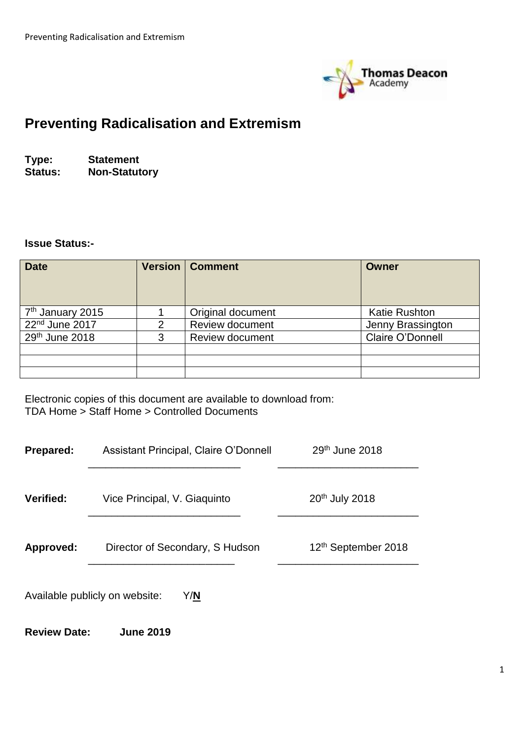

# **Preventing Radicalisation and Extremism**

**Type: Statement Non-Statutory** 

**Review Date: June 2019**

#### **Issue Status:-**

| <b>Date</b>                  |   | <b>Version   Comment</b> | <b>Owner</b>         |
|------------------------------|---|--------------------------|----------------------|
| 7 <sup>th</sup> January 2015 |   | Original document        | <b>Katie Rushton</b> |
| 22 <sup>nd</sup> June 2017   | 2 | <b>Review document</b>   | Jenny Brassington    |
| 29th June 2018               | 3 | <b>Review document</b>   | Claire O'Donnell     |
|                              |   |                          |                      |
|                              |   |                          |                      |
|                              |   |                          |                      |

Electronic copies of this document are available to download from: TDA Home > Staff Home > Controlled Documents

| <b>Prepared:</b>                      | Assistant Principal, Claire O'Donnell | $29th$ June 2018                |  |  |
|---------------------------------------|---------------------------------------|---------------------------------|--|--|
| Verified:                             | Vice Principal, V. Giaquinto          | 20 <sup>th</sup> July 2018      |  |  |
| Approved:                             | Director of Secondary, S Hudson       | 12 <sup>th</sup> September 2018 |  |  |
| Available publicly on website:<br>Y/N |                                       |                                 |  |  |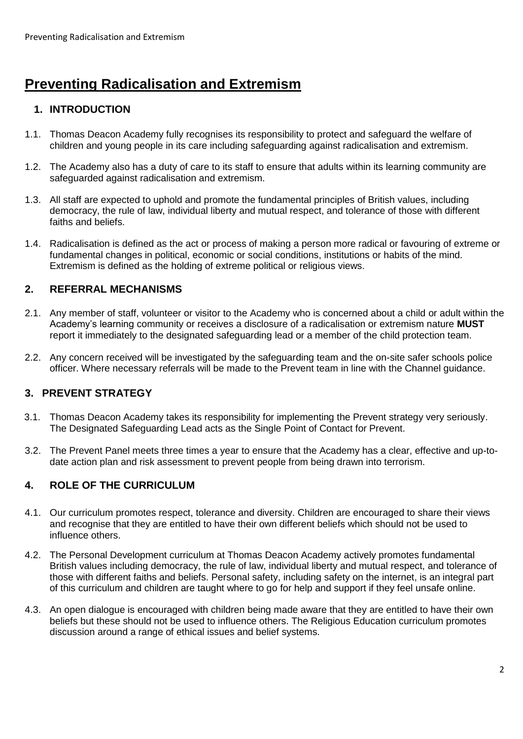# **Preventing Radicalisation and Extremism**

### **1. INTRODUCTION**

- 1.1. Thomas Deacon Academy fully recognises its responsibility to protect and safeguard the welfare of children and young people in its care including safeguarding against radicalisation and extremism.
- 1.2. The Academy also has a duty of care to its staff to ensure that adults within its learning community are safeguarded against radicalisation and extremism.
- 1.3. All staff are expected to uphold and promote the fundamental principles of British values, including democracy, the rule of law, individual liberty and mutual respect, and tolerance of those with different faiths and beliefs.
- 1.4. Radicalisation is defined as the act or process of making a person more radical or favouring of extreme or fundamental changes in political, economic or social conditions, institutions or habits of the mind. Extremism is defined as the holding of extreme political or religious views.

#### **2. REFERRAL MECHANISMS**

- 2.1. Any member of staff, volunteer or visitor to the Academy who is concerned about a child or adult within the Academy's learning community or receives a disclosure of a radicalisation or extremism nature **MUST** report it immediately to the designated safeguarding lead or a member of the child protection team.
- 2.2. Any concern received will be investigated by the safeguarding team and the on-site safer schools police officer. Where necessary referrals will be made to the Prevent team in line with the Channel guidance.

# **3. PREVENT STRATEGY**

- 3.1. Thomas Deacon Academy takes its responsibility for implementing the Prevent strategy very seriously. The Designated Safeguarding Lead acts as the Single Point of Contact for Prevent.
- 3.2. The Prevent Panel meets three times a year to ensure that the Academy has a clear, effective and up-todate action plan and risk assessment to prevent people from being drawn into terrorism.

# **4. ROLE OF THE CURRICULUM**

- 4.1. Our curriculum promotes respect, tolerance and diversity. Children are encouraged to share their views and recognise that they are entitled to have their own different beliefs which should not be used to influence others.
- 4.2. The Personal Development curriculum at Thomas Deacon Academy actively promotes fundamental British values including democracy, the rule of law, individual liberty and mutual respect, and tolerance of those with different faiths and beliefs. Personal safety, including safety on the internet, is an integral part of this curriculum and children are taught where to go for help and support if they feel unsafe online.
- 4.3. An open dialogue is encouraged with children being made aware that they are entitled to have their own beliefs but these should not be used to influence others. The Religious Education curriculum promotes discussion around a range of ethical issues and belief systems.